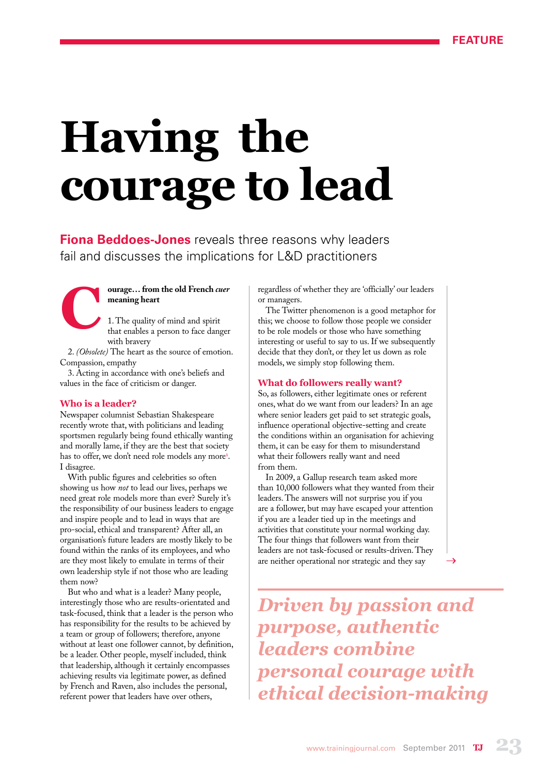# **Having the courage to lead**

**Fiona Beddoes-Jones** reveals three reasons why leaders fail and discusses the implications for L&D practitioners



1. The quality of mind and spirit that enables a person to face danger with bravery

2. *(Obsolete)* The heart as the source of emotion. Compassion, empathy

3. Acting in accordance with one's beliefs and values in the face of criticism or danger.

#### **Who is a leader?**

Newspaper columnist Sebastian Shakespeare recently wrote that, with politicians and leading sportsmen regularly being found ethically wanting and morally lame, if they are the best that society has to offer, we don't need role models any more<sup>1</sup>. I disagree.

With public figures and celebrities so often showing us how *not* to lead our lives, perhaps we need great role models more than ever? Surely it's the responsibility of our business leaders to engage and inspire people and to lead in ways that are pro-social, ethical and transparent? After all, an organisation's future leaders are mostly likely to be found within the ranks of its employees, and who are they most likely to emulate in terms of their own leadership style if not those who are leading them now?

But who and what is a leader? Many people, interestingly those who are results-orientated and task-focused, think that a leader is the person who has responsibility for the results to be achieved by a team or group of followers; therefore, anyone without at least one follower cannot, by definition, be a leader. Other people, myself included, think that leadership, although it certainly encompasses achieving results via legitimate power, as defined by French and Raven, also includes the personal, referent power that leaders have over others,

regardless of whether they are 'officially' our leaders or managers.

The Twitter phenomenon is a good metaphor for this; we choose to follow those people we consider to be role models or those who have something interesting or useful to say to us. If we subsequently decide that they don't, or they let us down as role models, we simply stop following them.

#### **What do followers really want?**

So, as followers, either legitimate ones or referent ones, what do we want from our leaders? In an age where senior leaders get paid to set strategic goals, influence operational objective-setting and create the conditions within an organisation for achieving them, it can be easy for them to misunderstand what their followers really want and need from them.

In 2009, a Gallup research team asked more than 10,000 followers what they wanted from their leaders. The answers will not surprise you if you are a follower, but may have escaped your attention if you are a leader tied up in the meetings and activities that constitute your normal working day. The four things that followers want from their leaders are not task-focused or results-driven. They are neither operational nor strategic and they say

*Driven by passion and purpose, authentic leaders combine personal courage with ethical decision-making*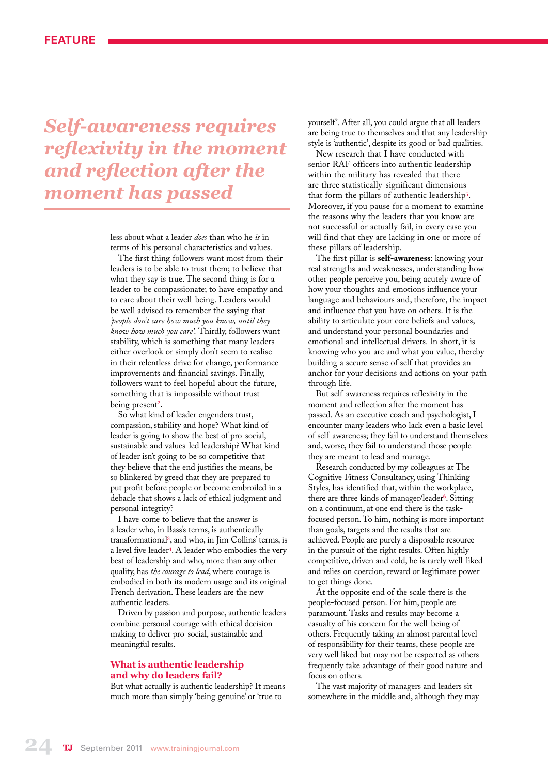# *Self-awareness requires reflexivity in the moment and reflection after the moment has passed*

less about what a leader *does* than who he *is* in terms of his personal characteristics and values.

The first thing followers want most from their leaders is to be able to trust them; to believe that what they say is true. The second thing is for a leader to be compassionate; to have empathy and to care about their well-being. Leaders would be well advised to remember the saying that *'people don't care how much you know, until they know how much you care'.* Thirdly, followers want stability, which is something that many leaders either overlook or simply don't seem to realise in their relentless drive for change, performance improvements and financial savings. Finally, followers want to feel hopeful about the future, something that is impossible without trust being present<sup>2</sup>.

So what kind of leader engenders trust, compassion, stability and hope? What kind of leader is going to show the best of pro-social, sustainable and values-led leadership? What kind of leader isn't going to be so competitive that they believe that the end justifies the means, be so blinkered by greed that they are prepared to put profit before people or become embroiled in a debacle that shows a lack of ethical judgment and personal integrity?

I have come to believe that the answer is a leader who, in Bass's terms, is authentically transformational<sup>3</sup> , and who, in Jim Collins' terms, is a level five leader<sup>4</sup>. A leader who embodies the very best of leadership and who, more than any other quality, has *the courage to lead*, where courage is embodied in both its modern usage and its original French derivation. These leaders are the new authentic leaders.

Driven by passion and purpose, authentic leaders combine personal courage with ethical decisionmaking to deliver pro-social, sustainable and meaningful results.

#### **What is authentic leadership and why do leaders fail?**

But what actually is authentic leadership? It means much more than simply 'being genuine' or 'true to

yourself'. After all, you could argue that all leaders are being true to themselves and that any leadership style is 'authentic', despite its good or bad qualities.

New research that I have conducted with senior RAF officers into authentic leadership within the military has revealed that there are three statistically-significant dimensions that form the pillars of authentic leadership<sup>5</sup> . Moreover, if you pause for a moment to examine the reasons why the leaders that you know are not successful or actually fail, in every case you will find that they are lacking in one or more of these pillars of leadership.

The first pillar is **self-awareness**: knowing your real strengths and weaknesses, understanding how other people perceive you, being acutely aware of how your thoughts and emotions influence your language and behaviours and, therefore, the impact and influence that you have on others. It is the ability to articulate your core beliefs and values, and understand your personal boundaries and emotional and intellectual drivers. In short, it is knowing who you are and what you value, thereby building a secure sense of self that provides an anchor for your decisions and actions on your path through life.

But self-awareness requires reflexivity in the moment and reflection after the moment has passed. As an executive coach and psychologist, I encounter many leaders who lack even a basic level of self-awareness; they fail to understand themselves and, worse, they fail to understand those people they are meant to lead and manage.

Research conducted by my colleagues at The Cognitive Fitness Consultancy, using Thinking Styles, has identified that, within the workplace, there are three kinds of manager/leader<sup>6</sup>. Sitting on a continuum, at one end there is the taskfocused person. To him, nothing is more important than goals, targets and the results that are achieved. People are purely a disposable resource in the pursuit of the right results. Often highly competitive, driven and cold, he is rarely well-liked and relies on coercion, reward or legitimate power to get things done.

At the opposite end of the scale there is the people-focused person. For him, people are paramount. Tasks and results may become a casualty of his concern for the well-being of others. Frequently taking an almost parental level of responsibility for their teams, these people are very well liked but may not be respected as others frequently take advantage of their good nature and focus on others.

The vast majority of managers and leaders sit somewhere in the middle and, although they may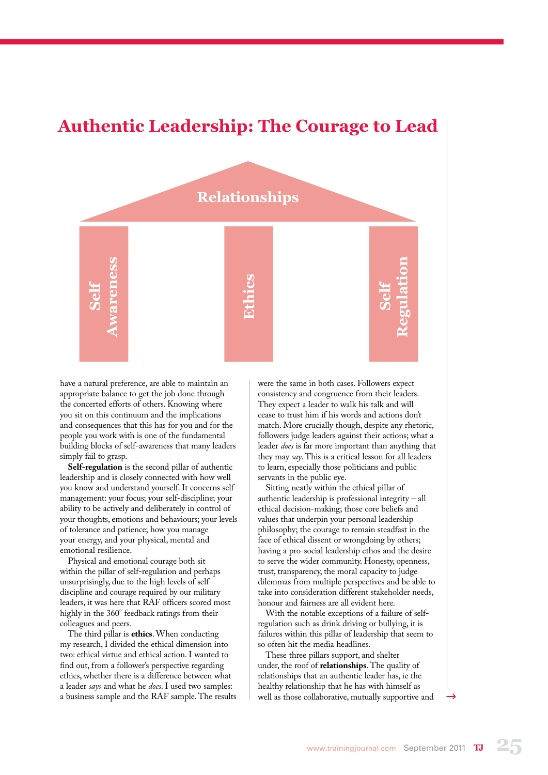### **Authentic Leadership: The Courage to Lead**



have a natural preference, are able to maintain an appropriate balance to get the job done through the concerted efforts of others. Knowing where you sit on this continuum and the implications and consequences that this has for you and for the people you work with is one of the fundamental building blocks of self-awareness that many leaders simply fail to grasp.

**Self-regulation** is the second pillar of authentic leadership and is closely connected with how well you know and understand yourself. It concerns selfmanagement: your focus; your self-discipline; your ability to be actively and deliberately in control of your thoughts, emotions and behaviours; your levels of tolerance and patience; how you manage your energy, and your physical, mental and emotional resilience.

Physical and emotional courage both sit within the pillar of self-regulation and perhaps unsurprisingly, due to the high levels of selfdiscipline and courage required by our military leaders, it was here that RAF officers scored most highly in the 360° feedback ratings from their colleagues and peers.

The third pillar is **ethics**. When conducting my research, I divided the ethical dimension into two: ethical virtue and ethical action. I wanted to find out, from a follower's perspective regarding ethics, whether there is a difference between what a leader *says* and what he *does*. I used two samples: a business sample and the RAF sample. The results were the same in both cases. Followers expect consistency and congruence from their leaders. They expect a leader to walk his talk and will cease to trust him if his words and actions don't match. More crucially though, despite any rhetoric, followers judge leaders against their actions; what a leader *does* is far more important than anything that they may *say*. This is a critical lesson for all leaders to learn, especially those politicians and public servants in the public eye.

Sitting neatly within the ethical pillar of authentic leadership is professional integrity – all ethical decision-making; those core beliefs and values that underpin your personal leadership philosophy; the courage to remain steadfast in the face of ethical dissent or wrongdoing by others; having a pro-social leadership ethos and the desire to serve the wider community. Honesty, openness, trust, transparency, the moral capacity to judge dilemmas from multiple perspectives and be able to take into consideration different stakeholder needs, honour and fairness are all evident here.

With the notable exceptions of a failure of selfregulation such as drink driving or bullying, it is failures within this pillar of leadership that seem to so often hit the media headlines.

These three pillars support, and shelter under, the roof of **relationships**. The quality of relationships that an authentic leader has, ie the healthy relationship that he has with himself as well as those collaborative, mutually supportive and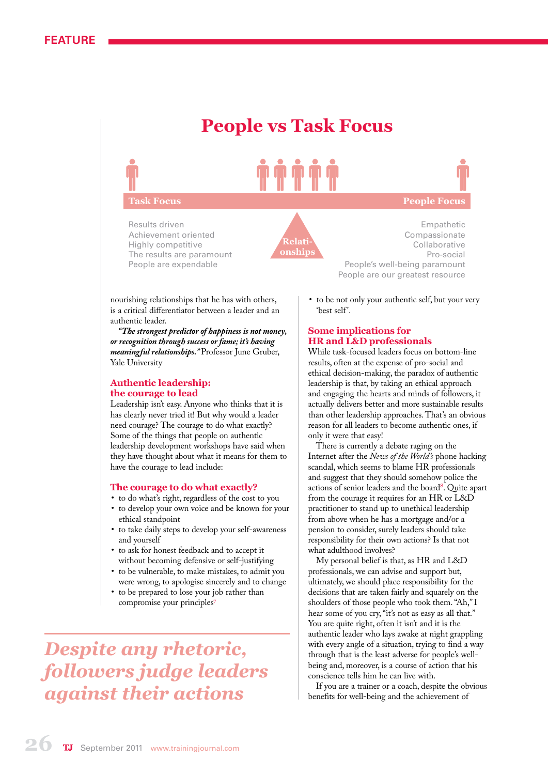## **People vs Task Focus**

# **Task Focus People Focus**

Results driven Achievement oriented Highly competitive The results are paramount People are expendable



Empathetic Compassionate Collaborative Pro-social People's well-being paramount People are our greatest resource

nourishing relationships that he has with others, is a critical differentiator between a leader and an authentic leader.

*"The strongest predictor of happiness is not money, or recognition through success or fame; it's having meaningful relationships."* Professor June Gruber, Yale University

#### **Authentic leadership: the courage to lead**

Leadership isn't easy. Anyone who thinks that it is has clearly never tried it! But why would a leader need courage? The courage to do what exactly? Some of the things that people on authentic leadership development workshops have said when they have thought about what it means for them to have the courage to lead include:

#### **The courage to do what exactly?**

- • to do what's right, regardless of the cost to you
- to develop your own voice and be known for your ethical standpoint
- • to take daily steps to develop your self-awareness and yourself
- • to ask for honest feedback and to accept it without becoming defensive or self-justifying
- • to be vulnerable, to make mistakes, to admit you were wrong, to apologise sincerely and to change
- • to be prepared to lose your job rather than compromise your principles<sup>7</sup>

*Despite any rhetoric, followers judge leaders against their actions*

to be not only your authentic self, but your very 'best self'.

#### **Some implications for HR and L&D professionals**

While task-focused leaders focus on bottom-line results, often at the expense of pro-social and ethical decision-making, the paradox of authentic leadership is that, by taking an ethical approach and engaging the hearts and minds of followers, it actually delivers better and more sustainable results than other leadership approaches. That's an obvious reason for all leaders to become authentic ones, if only it were that easy!

There is currently a debate raging on the Internet after the *News of the World's* phone hacking scandal, which seems to blame HR professionals and suggest that they should somehow police the actions of senior leaders and the board<sup>8</sup>. Quite apart from the courage it requires for an HR or L&D practitioner to stand up to unethical leadership from above when he has a mortgage and/or a pension to consider, surely leaders should take responsibility for their own actions? Is that not what adulthood involves?

My personal belief is that, as HR and L&D professionals, we can advise and support but, ultimately, we should place responsibility for the decisions that are taken fairly and squarely on the shoulders of those people who took them. "Ah," I hear some of you cry, "it's not as easy as all that." You are quite right, often it isn't and it is the authentic leader who lays awake at night grappling with every angle of a situation, trying to find a way through that is the least adverse for people's wellbeing and, moreover, is a course of action that his conscience tells him he can live with.

If you are a trainer or a coach, despite the obvious benefits for well-being and the achievement of